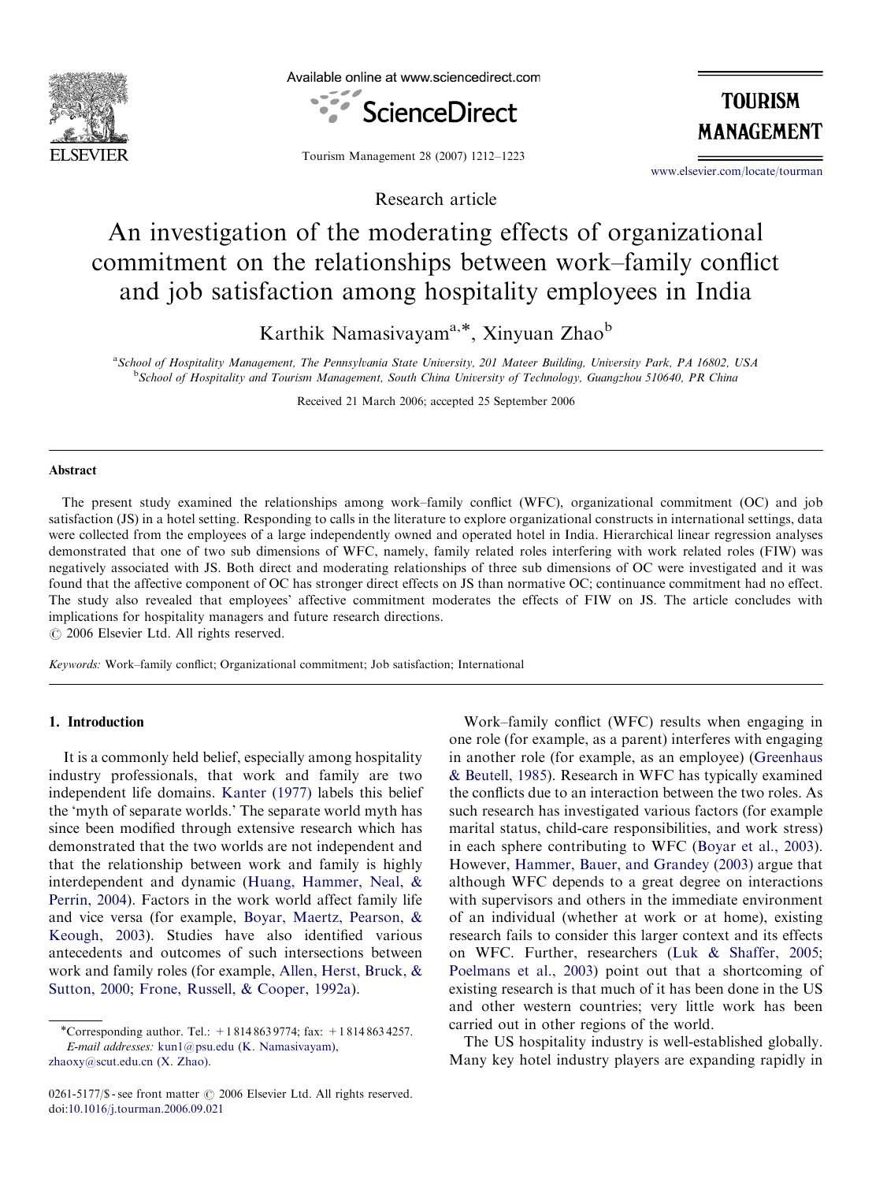

Available online at www.sciencedirect.com



**TOURISM MANAGEMENT** 

Tourism Management 28 (2007) 1212–1223

<www.elsevier.com/locate/tourman>

# An investigation of the moderating effects of organizational commitment on the relationships between work–family conflict and job satisfaction among hospitality employees in India

Research article

Karthik Namasivayam<sup>a,\*</sup>, Xinyuan Zhao<sup>b</sup>

a<br>School of Hospitality Management, The Pennsylvania State University, 201 Mateer Building, University Park, PA 16802, USA <sup>b</sup>School of Hospitality and Tourism Management, South China University of Technology, Guangzhou 510640, PR China

Received 21 March 2006; accepted 25 September 2006

### Abstract

The present study examined the relationships among work–family conflict (WFC), organizational commitment (OC) and job satisfaction (JS) in a hotel setting. Responding to calls in the literature to explore organizational constructs in international settings, data were collected from the employees of a large independently owned and operated hotel in India. Hierarchical linear regression analyses demonstrated that one of two sub dimensions of WFC, namely, family related roles interfering with work related roles (FIW) was negatively associated with JS. Both direct and moderating relationships of three sub dimensions of OC were investigated and it was found that the affective component of OC has stronger direct effects on JS than normative OC; continuance commitment had no effect. The study also revealed that employees' affective commitment moderates the effects of FIW on JS. The article concludes with implications for hospitality managers and future research directions.

 $\odot$  2006 Elsevier Ltd. All rights reserved.

Keywords: Work–family conflict; Organizational commitment; Job satisfaction; International

#### 1. Introduction

It is a commonly held belief, especially among hospitality industry professionals, that work and family are two independent life domains. [Kanter \(1977\)](#page--1-0) labels this belief the 'myth of separate worlds.' The separate world myth has since been modified through extensive research which has demonstrated that the two worlds are not independent and that the relationship between work and family is highly interdependent and dynamic [\(Huang, Hammer, Neal,](#page--1-0) & [Perrin, 2004](#page--1-0)). Factors in the work world affect family life and vice versa (for example, [Boyar, Maertz, Pearson,](#page--1-0) & [Keough, 2003\)](#page--1-0). Studies have also identified various antecedents and outcomes of such intersections between work and family roles (for example, [Allen, Herst, Bruck,](#page--1-0) & [Sutton, 2000](#page--1-0); [Frone, Russell,](#page--1-0) & [Cooper, 1992a\)](#page--1-0).

doi:[10.1016/j.tourman.2006.09.021](dx.doi.org/10.1016/j.tourman.2006.09.021)

Work–family conflict (WFC) results when engaging in one role (for example, as a parent) interferes with engaging in another role (for example, as an employee) ([Greenhaus](#page--1-0) [& Beutell, 1985](#page--1-0)). Research in WFC has typically examined the conflicts due to an interaction between the two roles. As such research has investigated various factors (for example marital status, child-care responsibilities, and work stress) in each sphere contributing to WFC [\(Boyar et al., 2003\)](#page--1-0). However, [Hammer, Bauer, and Grandey \(2003\)](#page--1-0) argue that although WFC depends to a great degree on interactions with supervisors and others in the immediate environment of an individual (whether at work or at home), existing research fails to consider this larger context and its effects on WFC. Further, researchers ([Luk & Shaffer, 2005](#page--1-0); [Poelmans et al., 2003](#page--1-0)) point out that a shortcoming of existing research is that much of it has been done in the US and other western countries; very little work has been carried out in other regions of the world.

The US hospitality industry is well-established globally. Many key hotel industry players are expanding rapidly in

<sup>-</sup>Corresponding author. Tel.: +1 814 863 9774; fax: +1 814 863 4257. E-mail addresses: [kun1@psu.edu \(K. Namasivayam\),](mailto:kun1@psu.edu) [zhaoxy@scut.edu.cn \(X. Zhao\).](mailto:zhaoxy@scut.edu.cn)

<sup>0261-5177/\$ -</sup> see front matter  $\odot$  2006 Elsevier Ltd. All rights reserved.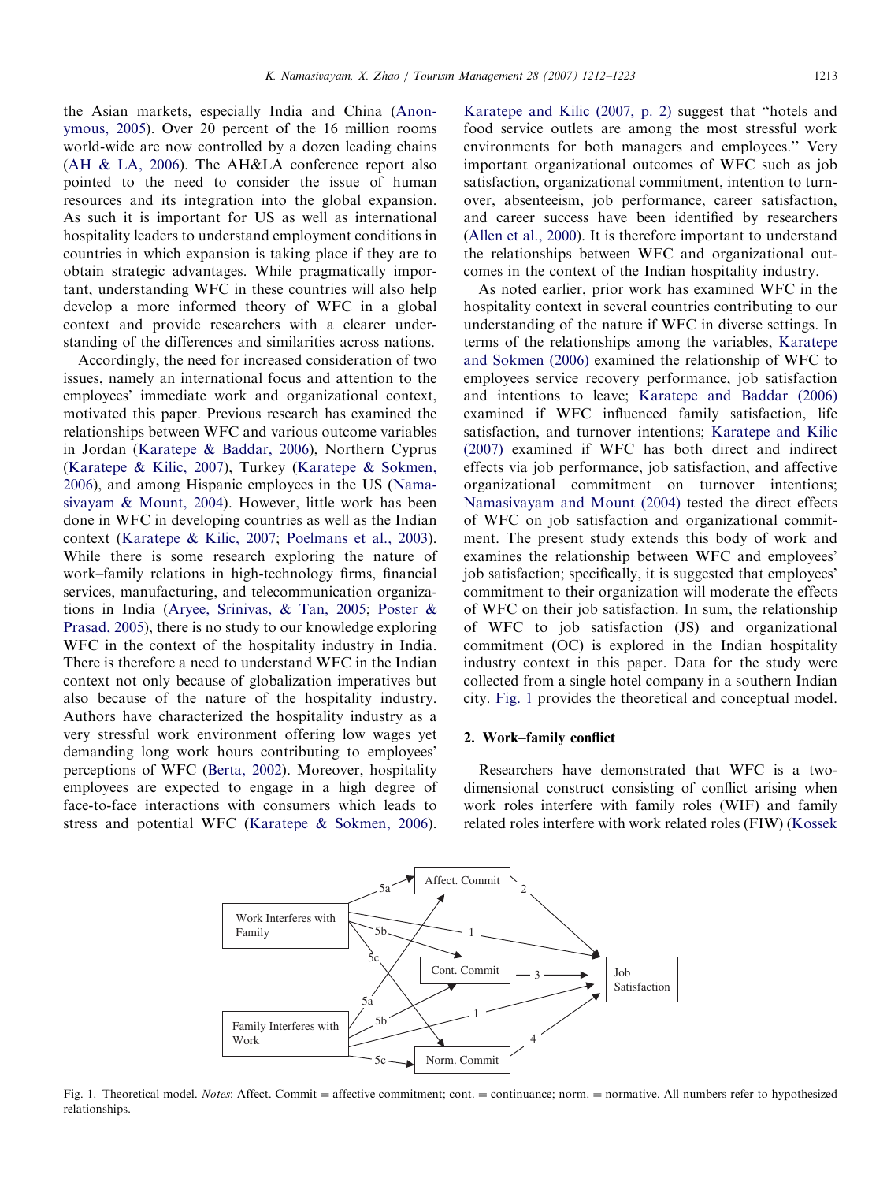the Asian markets, especially India and China [\(Anon](#page--1-0)[ymous, 2005](#page--1-0)). Over 20 percent of the 16 million rooms world-wide are now controlled by a dozen leading chains ([AH](#page--1-0) [& LA, 2006\)](#page--1-0). The AH&LA conference report also pointed to the need to consider the issue of human resources and its integration into the global expansion. As such it is important for US as well as international hospitality leaders to understand employment conditions in countries in which expansion is taking place if they are to obtain strategic advantages. While pragmatically important, understanding WFC in these countries will also help develop a more informed theory of WFC in a global context and provide researchers with a clearer understanding of the differences and similarities across nations.

Accordingly, the need for increased consideration of two issues, namely an international focus and attention to the employees' immediate work and organizational context, motivated this paper. Previous research has examined the relationships between WFC and various outcome variables in Jordan ([Karatepe & Baddar, 2006\)](#page--1-0), Northern Cyprus ([Karatepe](#page--1-0) & [Kilic, 2007](#page--1-0)), Turkey ([Karatepe & Sokmen,](#page--1-0) [2006](#page--1-0)), and among Hispanic employees in the US ([Nama](#page--1-0)[sivayam](#page--1-0) [& Mount, 2004](#page--1-0)). However, little work has been done in WFC in developing countries as well as the Indian context ([Karatepe & Kilic, 2007](#page--1-0); [Poelmans et al., 2003\)](#page--1-0). While there is some research exploring the nature of work–family relations in high-technology firms, financial services, manufacturing, and telecommunication organizations in India [\(Aryee, Srinivas,](#page--1-0) & [Tan, 2005;](#page--1-0) [Poster &](#page--1-0) [Prasad, 2005\)](#page--1-0), there is no study to our knowledge exploring WFC in the context of the hospitality industry in India. There is therefore a need to understand WFC in the Indian context not only because of globalization imperatives but also because of the nature of the hospitality industry. Authors have characterized the hospitality industry as a very stressful work environment offering low wages yet demanding long work hours contributing to employees' perceptions of WFC [\(Berta, 2002](#page--1-0)). Moreover, hospitality employees are expected to engage in a high degree of face-to-face interactions with consumers which leads to stress and potential WFC [\(Karatepe](#page--1-0) & [Sokmen, 2006\)](#page--1-0).

[Karatepe and Kilic \(2007, p. 2\)](#page--1-0) suggest that ''hotels and food service outlets are among the most stressful work environments for both managers and employees.'' Very important organizational outcomes of WFC such as job satisfaction, organizational commitment, intention to turnover, absenteeism, job performance, career satisfaction, and career success have been identified by researchers ([Allen et al., 2000](#page--1-0)). It is therefore important to understand the relationships between WFC and organizational outcomes in the context of the Indian hospitality industry.

As noted earlier, prior work has examined WFC in the hospitality context in several countries contributing to our understanding of the nature if WFC in diverse settings. In terms of the relationships among the variables, [Karatepe](#page--1-0) [and Sokmen \(2006\)](#page--1-0) examined the relationship of WFC to employees service recovery performance, job satisfaction and intentions to leave; [Karatepe and Baddar \(2006\)](#page--1-0) examined if WFC influenced family satisfaction, life satisfaction, and turnover intentions; [Karatepe and Kilic](#page--1-0) [\(2007\)](#page--1-0) examined if WFC has both direct and indirect effects via job performance, job satisfaction, and affective organizational commitment on turnover intentions; [Namasivayam and Mount \(2004\)](#page--1-0) tested the direct effects of WFC on job satisfaction and organizational commitment. The present study extends this body of work and examines the relationship between WFC and employees' job satisfaction; specifically, it is suggested that employees' commitment to their organization will moderate the effects of WFC on their job satisfaction. In sum, the relationship of WFC to job satisfaction (JS) and organizational commitment (OC) is explored in the Indian hospitality industry context in this paper. Data for the study were collected from a single hotel company in a southern Indian city. Fig. 1 provides the theoretical and conceptual model.

#### 2. Work–family conflict

Researchers have demonstrated that WFC is a twodimensional construct consisting of conflict arising when work roles interfere with family roles (WIF) and family related roles interfere with work related roles (FIW) ([Kossek](#page--1-0)



Fig. 1. Theoretical model. Notes: Affect. Commit = affective commitment; cont. = continuance; norm. = normative. All numbers refer to hypothesized relationships.